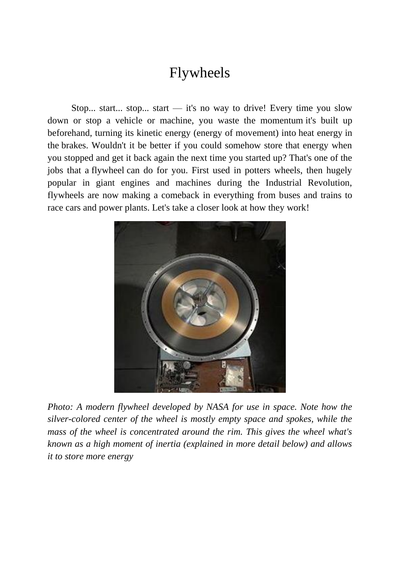#### Flywheels

Stop... start... stop... start — it's no way to drive! Every time you slow down or stop a vehicle or machine, you waste the [momentum](http://www.explainthatstuff.com/motion.html) it's built up beforehand, turning its kinetic energy (energy of movement) into [heat energy](http://www.explainthatstuff.com/heat.html) in the [brakes.](http://www.explainthatstuff.com/brakes.html) Wouldn't it be better if you could somehow store that energy when you stopped and get it back again the next time you started up? That's one of the jobs that a flywheel can do for you. First used in potters wheels, then hugely popular in giant engines and machines during the Industrial Revolution, flywheels are now making a comeback in everything from buses and trains to race cars and [power plants.](http://www.explainthatstuff.com/powerplants.html) Let's take a closer look at how they work!



*Photo: A modern flywheel developed by NASA for use in space. Note how the silver-colored center of the wheel is mostly empty space and spokes, while the mass of the wheel is concentrated around the rim. This gives the wheel what's known as a high moment of inertia (explained in more detail below) and allows it to store more energy*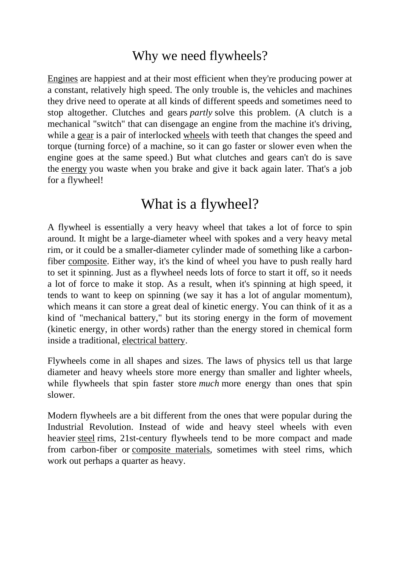#### Why we need flywheels?

[Engines](http://www.explainthatstuff.com/engines.html) are happiest and at their most efficient when they're producing power at a constant, relatively high speed. The only trouble is, the vehicles and machines they drive need to operate at all kinds of different speeds and sometimes need to stop altogether. Clutches and gears *partly* solve this problem. (A clutch is a mechanical "switch" that can disengage an engine from the machine it's driving, while a [gear](http://www.explainthatstuff.com/gears.html) is a pair of interlocked [wheels](http://www.explainthatstuff.com/howwheelswork.html) with teeth that changes the speed and torque (turning force) of a machine, so it can go faster or slower even when the engine goes at the same speed.) But what clutches and gears can't do is save the [energy](http://www.explainthatstuff.com/energy.html) you waste when you brake and give it back again later. That's a job for a flywheel!

#### What is a flywheel?

A flywheel is essentially a very heavy wheel that takes a lot of force to spin around. It might be a large-diameter wheel with spokes and a very heavy metal rim, or it could be a smaller-diameter cylinder made of something like a carbonfiber [composite.](http://www.explainthatstuff.com/composites.html) Either way, it's the kind of wheel you have to push really hard to set it spinning. Just as a flywheel needs lots of force to start it off, so it needs a lot of force to make it stop. As a result, when it's spinning at high speed, it tends to want to keep on spinning (we say it has a lot of angular momentum), which means it can store a great deal of kinetic energy. You can think of it as a kind of "mechanical battery," but its storing energy in the form of movement (kinetic energy, in other words) rather than the energy stored in chemical form inside a traditional, [electrical battery.](http://www.explainthatstuff.com/batteries.html)

Flywheels come in all shapes and sizes. The laws of physics tell us that large diameter and heavy wheels store more energy than smaller and lighter wheels, while flywheels that spin faster store *much* more energy than ones that spin slower.

Modern flywheels are a bit different from the ones that were popular during the Industrial Revolution. Instead of wide and heavy steel wheels with even heavier [steel](http://www.explainthatstuff.com/ironsteel.html) rims, 21st-century flywheels tend to be more compact and made from carbon-fiber or [composite materials,](http://www.explainthatstuff.com/composites.html) sometimes with steel rims, which work out perhaps a quarter as heavy.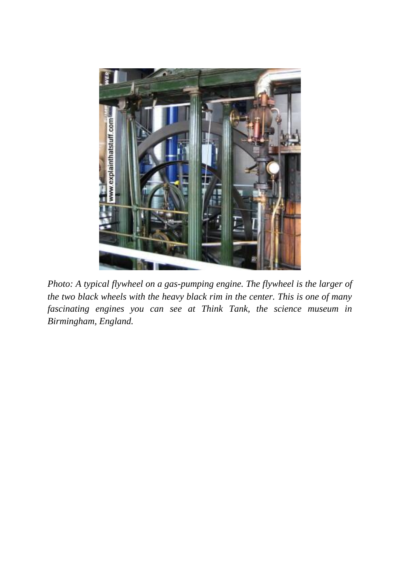

*Photo: A typical flywheel on a gas-pumping engine. The flywheel is the larger of the two black wheels with the heavy black rim in the center. This is one of many fascinating engines you can see at Think Tank, the science museum in Birmingham, England.*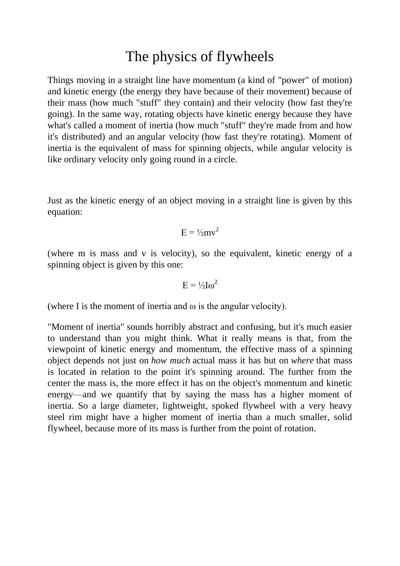#### The physics of flywheels

Things moving in a straight line have momentum (a kind of "power" of motion) and kinetic energy (the energy they have because of their movement) because of their mass (how much "stuff" they contain) and their velocity (how fast they're going). In the same way, rotating objects have kinetic energy because they have what's called a moment of inertia (how much "stuff" they're made from and how it's distributed) and an angular velocity (how fast they're rotating). Moment of inertia is the equivalent of mass for spinning objects, while angular velocity is like ordinary velocity only going round in a circle.

Just as the kinetic energy of an object moving in a straight line is given by this equation:

$$
E = \frac{1}{2}mv^2
$$

(where m is mass and v is velocity), so the equivalent, kinetic energy of a spinning object is given by this one:

$$
E = \frac{1}{2}I\omega^2
$$

(where I is the moment of inertia and  $\omega$  is the angular velocity).

"Moment of inertia" sounds horribly abstract and confusing, but it's much easier to understand than you might think. What it really means is that, from the viewpoint of kinetic energy and momentum, the effective mass of a spinning object depends not just on *how much* actual mass it has but on *where* that mass is located in relation to the point it's spinning around. The further from the center the mass is, the more effect it has on the object's momentum and kinetic energy—and we quantify that by saying the mass has a higher moment of inertia. So a large diameter, lightweight, spoked flywheel with a very heavy steel rim might have a higher moment of inertia than a much smaller, solid flywheel, because more of its mass is further from the point of rotation.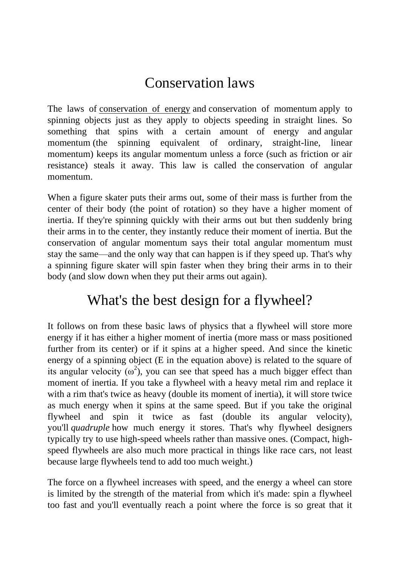# Conservation laws

The laws of [conservation of energy](http://www.explainthatstuff.com/conservation-of-energy.html) and conservation of momentum apply to spinning objects just as they apply to objects speeding in straight lines. So something that spins with a certain amount of energy and angular momentum (the spinning equivalent of ordinary, straight-line, linear momentum) keeps its angular momentum unless a force (such as friction or air resistance) steals it away. This law is called the conservation of angular momentum.

When a figure skater puts their arms out, some of their mass is further from the center of their body (the point of rotation) so they have a higher moment of inertia. If they're spinning quickly with their arms out but then suddenly bring their arms in to the center, they instantly reduce their moment of inertia. But the conservation of angular momentum says their total angular momentum must stay the same—and the only way that can happen is if they speed up. That's why a spinning figure skater will spin faster when they bring their arms in to their body (and slow down when they put their arms out again).

### What's the best design for a flywheel?

It follows on from these basic laws of physics that a flywheel will store more energy if it has either a higher moment of inertia (more mass or mass positioned further from its center) or if it spins at a higher speed. And since the kinetic energy of a spinning object (E in the equation above) is related to the square of its angular velocity ( $\omega^2$ ), you can see that speed has a much bigger effect than moment of inertia. If you take a flywheel with a heavy metal rim and replace it with a rim that's twice as heavy (double its moment of inertia), it will store twice as much energy when it spins at the same speed. But if you take the original flywheel and spin it twice as fast (double its angular velocity), you'll *quadruple* how much energy it stores. That's why flywheel designers typically try to use high-speed wheels rather than massive ones. (Compact, highspeed flywheels are also much more practical in things like race cars, not least because large flywheels tend to add too much weight.)

The force on a flywheel increases with speed, and the energy a wheel can store is limited by the strength of the material from which it's made: spin a flywheel too fast and you'll eventually reach a point where the force is so great that it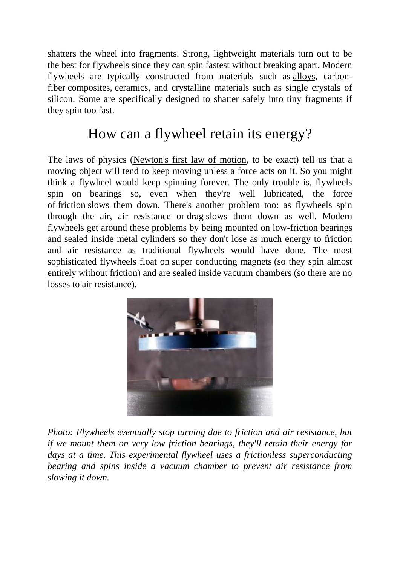shatters the wheel into fragments. Strong, lightweight materials turn out to be the best for flywheels since they can spin fastest without breaking apart. Modern flywheels are typically constructed from materials such as [alloys,](http://www.explainthatstuff.com/alloys.html) carbonfiber [composites,](http://www.explainthatstuff.com/composites.html) [ceramics,](http://www.explainthatstuff.com/ceramics.html) and crystalline materials such as single crystals of silicon. Some are specifically designed to shatter safely into tiny fragments if they spin too fast.

### How can a flywheel retain its energy?

The laws of physics [\(Newton's first law of motion,](http://www.explainthatstuff.com/motion.html) to be exact) tell us that a moving object will tend to keep moving unless a force acts on it. So you might think a flywheel would keep spinning forever. The only trouble is, flywheels spin on bearings so, even when they're well [lubricated,](http://www.explainthatstuff.com/lubricants.html) the force of friction slows them down. There's another problem too: as flywheels spin through the air, air resistance or drag slows them down as well. Modern flywheels get around these problems by being mounted on low-friction bearings and sealed inside metal cylinders so they don't lose as much energy to friction and air resistance as traditional flywheels would have done. The most sophisticated flywheels float on super [conducting](http://www.explainthatstuff.com/superconductors.html) [magnets](http://www.explainthatstuff.com/magnetism.html) (so they spin almost entirely without friction) and are sealed inside vacuum chambers (so there are no losses to air resistance).



*Photo: Flywheels eventually stop turning due to friction and air resistance, but if we mount them on very low friction bearings, they'll retain their energy for*  days at a time. This experimental flywheel uses a frictionless superconducting *bearing and spins inside a vacuum chamber to prevent air resistance from slowing it down.*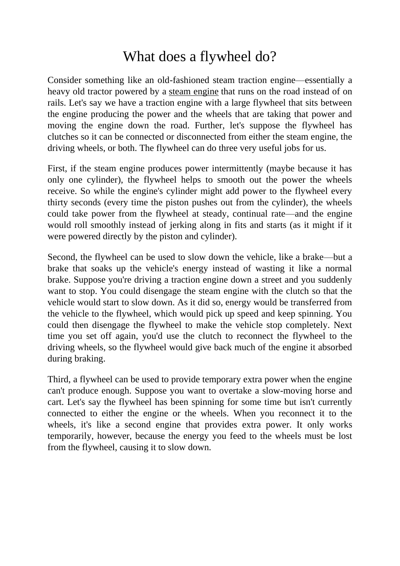### What does a flywheel do?

Consider something like an old-fashioned steam traction engine—essentially a heavy old tractor powered by a [steam engine](http://www.explainthatstuff.com/steamengines.html) that runs on the road instead of on rails. Let's say we have a traction engine with a large flywheel that sits between the engine producing the power and the wheels that are taking that power and moving the engine down the road. Further, let's suppose the flywheel has clutches so it can be connected or disconnected from either the steam engine, the driving wheels, or both. The flywheel can do three very useful jobs for us.

First, if the steam engine produces power intermittently (maybe because it has only one cylinder), the flywheel helps to smooth out the power the wheels receive. So while the engine's cylinder might add power to the flywheel every thirty seconds (every time the piston pushes out from the cylinder), the wheels could take power from the flywheel at steady, continual rate—and the engine would roll smoothly instead of jerking along in fits and starts (as it might if it were powered directly by the piston and cylinder).

Second, the flywheel can be used to slow down the vehicle, like a brake—but a brake that soaks up the vehicle's energy instead of wasting it like a normal brake. Suppose you're driving a traction engine down a street and you suddenly want to stop. You could disengage the steam engine with the clutch so that the vehicle would start to slow down. As it did so, energy would be transferred from the vehicle to the flywheel, which would pick up speed and keep spinning. You could then disengage the flywheel to make the vehicle stop completely. Next time you set off again, you'd use the clutch to reconnect the flywheel to the driving wheels, so the flywheel would give back much of the engine it absorbed during braking.

Third, a flywheel can be used to provide temporary extra power when the engine can't produce enough. Suppose you want to overtake a slow-moving horse and cart. Let's say the flywheel has been spinning for some time but isn't currently connected to either the engine or the wheels. When you reconnect it to the wheels, it's like a second engine that provides extra power. It only works temporarily, however, because the energy you feed to the wheels must be lost from the flywheel, causing it to slow down.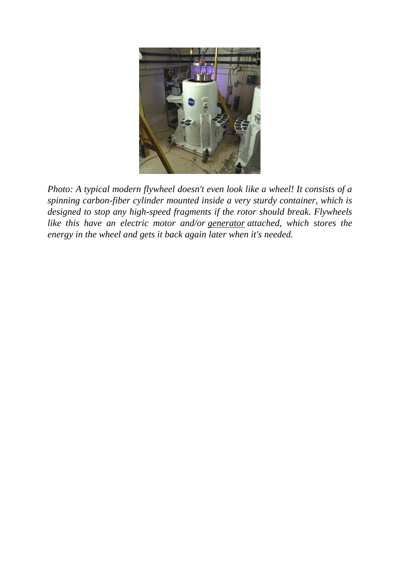

*Photo: A typical modern flywheel doesn't even look like a wheel! It consists of a spinning carbon-fiber cylinder mounted inside a very sturdy container, which is designed to stop any high-speed fragments if the rotor should break. Flywheels like this have an electric motor and/or [generator](http://www.explainthatstuff.com/generators.html) attached, which stores the energy in the wheel and gets it back again later when it's needed.*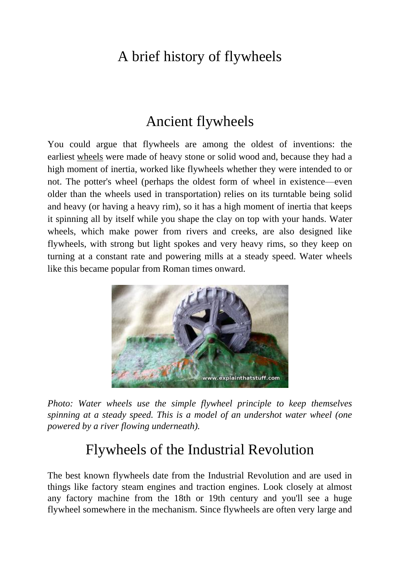## A brief history of flywheels

#### Ancient flywheels

You could argue that flywheels are among the oldest of inventions: the earliest [wheels](http://www.explainthatstuff.com/howwheelswork.html) were made of heavy stone or solid wood and, because they had a high moment of inertia, worked like flywheels whether they were intended to or not. The potter's wheel (perhaps the oldest form of wheel in existence—even older than the wheels used in transportation) relies on its turntable being solid and heavy (or having a heavy rim), so it has a high moment of inertia that keeps it spinning all by itself while you shape the clay on top with your hands. Water wheels, which make power from rivers and creeks, are also designed like flywheels, with strong but light spokes and very heavy rims, so they keep on turning at a constant rate and powering mills at a steady speed. Water wheels like this became popular from Roman times onward.



*Photo: Water wheels use the simple flywheel principle to keep themselves spinning at a steady speed. This is a model of an undershot water wheel (one powered by a river flowing underneath).*

#### Flywheels of the Industrial Revolution

The best known flywheels date from the Industrial Revolution and are used in things like factory steam engines and traction engines. Look closely at almost any factory machine from the 18th or 19th century and you'll see a huge flywheel somewhere in the mechanism. Since flywheels are often very large and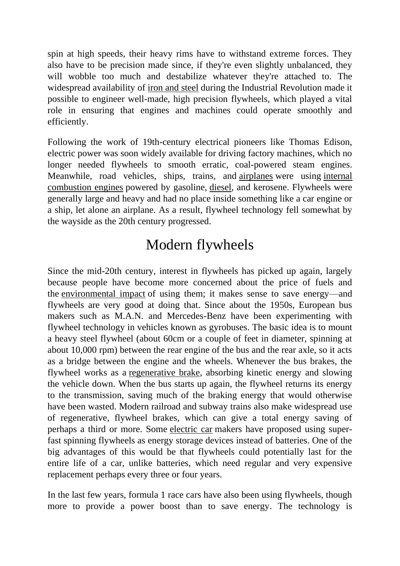spin at high speeds, their heavy rims have to withstand extreme forces. They also have to be precision made since, if they're even slightly unbalanced, they will wobble too much and destabilize whatever they're attached to. The widespread availability of [iron and steel](http://www.explainthatstuff.com/ironsteel.html) during the Industrial Revolution made it possible to engineer well-made, high precision flywheels, which played a vital role in ensuring that engines and machines could operate smoothly and efficiently.

Following the work of 19th-century electrical pioneers like Thomas Edison, electric power was soon widely available for driving factory machines, which no longer needed flywheels to smooth erratic, coal-powered steam engines. Meanwhile, road vehicles, ships, trains, and [airplanes](http://www.explainthatstuff.com/howplaneswork.html) were using [internal](http://www.explainthatstuff.com/carengines.html)  [combustion engines](http://www.explainthatstuff.com/carengines.html) powered by gasoline, [diesel,](http://www.explainthatstuff.com/diesel-engines.html) and kerosene. Flywheels were generally large and heavy and had no place inside something like a car engine or a ship, let alone an airplane. As a result, flywheel technology fell somewhat by the wayside as the 20th century progressed.

# Modern flywheels

Since the mid-20th century, interest in flywheels has picked up again, largely because people have become more concerned about the price of fuels and the [environmental impact](http://www.explainthatstuff.com/introduction-to-environmentalism.html) of using them; it makes sense to save energy—and flywheels are very good at doing that. Since about the 1950s, European bus makers such as M.A.N. and Mercedes-Benz have been experimenting with flywheel technology in vehicles known as gyrobuses. The basic idea is to mount a heavy steel flywheel (about 60cm or a couple of feet in diameter, spinning at about 10,000 rpm) between the rear engine of the bus and the rear axle, so it acts as a bridge between the engine and the wheels. Whenever the bus brakes, the flywheel works as a [regenerative brake,](http://www.explainthatstuff.com/how-regenerative-brakes-work.html) absorbing kinetic energy and slowing the vehicle down. When the bus starts up again, the flywheel returns its energy to the transmission, saving much of the braking energy that would otherwise have been wasted. Modern railroad and subway trains also make widespread use of regenerative, flywheel brakes, which can give a total energy saving of perhaps a third or more. Some [electric car](http://www.explainthatstuff.com/electriccars.html) makers have proposed using superfast spinning flywheels as energy storage devices instead of batteries. One of the big advantages of this would be that flywheels could potentially last for the entire life of a car, unlike batteries, which need regular and very expensive replacement perhaps every three or four years.

In the last few years, formula 1 race cars have also been using flywheels, though more to provide a power boost than to save energy. The technology is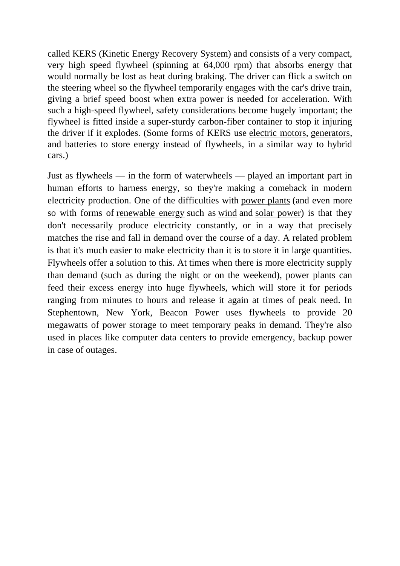called KERS (Kinetic Energy Recovery System) and consists of a very compact, very high speed flywheel (spinning at 64,000 rpm) that absorbs energy that would normally be lost as heat during braking. The driver can flick a switch on the steering wheel so the flywheel temporarily engages with the car's drive train, giving a brief speed boost when extra power is needed for acceleration. With such a high-speed flywheel, safety considerations become hugely important; the flywheel is fitted inside a super-sturdy carbon-fiber container to stop it injuring the driver if it explodes. (Some forms of KERS use [electric motors,](http://www.explainthatstuff.com/electricmotors.html) [generators,](http://www.explainthatstuff.com/generators.html) and batteries to store energy instead of flywheels, in a similar way to hybrid cars.)

Just as flywheels — in the form of waterwheels — played an important part in human efforts to harness energy, so they're making a comeback in modern electricity production. One of the difficulties with [power plants](http://www.explainthatstuff.com/powerplants.html) (and even more so with forms of <u>[renewable energy](http://www.explainthatstuff.com/renewableenergy.html)</u> such as <u>[wind](http://www.explainthatstuff.com/windturbines.html)</u> and [solar power\)](http://www.explainthatstuff.com/solarcells.html) is that they don't necessarily produce electricity constantly, or in a way that precisely matches the rise and fall in demand over the course of a day. A related problem is that it's much easier to make electricity than it is to store it in large quantities. Flywheels offer a solution to this. At times when there is more electricity supply than demand (such as during the night or on the weekend), power plants can feed their excess energy into huge flywheels, which will store it for periods ranging from minutes to hours and release it again at times of peak need. In Stephentown, New York, Beacon Power uses flywheels to provide 20 megawatts of power storage to meet temporary peaks in demand. They're also used in places like computer data centers to provide emergency, backup power in case of outages.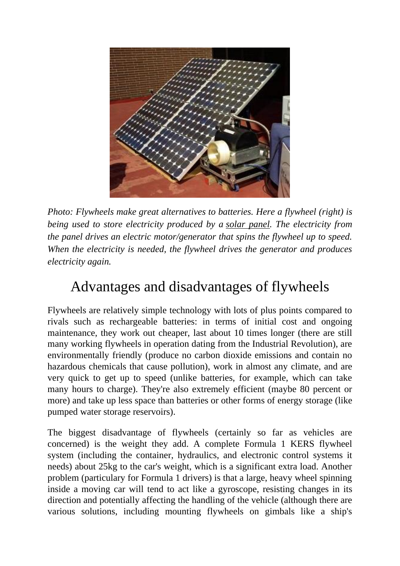

*Photo: Flywheels make great alternatives to batteries. Here a flywheel (right) is being used to store electricity produced by a [solar panel.](http://www.explainthatstuff.com/solarcells.html) The electricity from the panel drives an electric motor/generator that spins the flywheel up to speed. When the electricity is needed, the flywheel drives the generator and produces electricity again.*

### Advantages and disadvantages of flywheels

Flywheels are relatively simple technology with lots of plus points compared to rivals such as rechargeable batteries: in terms of initial cost and ongoing maintenance, they work out cheaper, last about 10 times longer (there are still many working flywheels in operation dating from the Industrial Revolution), are environmentally friendly (produce no carbon dioxide emissions and contain no hazardous chemicals that cause pollution), work in almost any climate, and are very quick to get up to speed (unlike batteries, for example, which can take many hours to charge). They're also extremely efficient (maybe 80 percent or more) and take up less space than batteries or other forms of energy storage (like pumped water storage reservoirs).

The biggest disadvantage of flywheels (certainly so far as vehicles are concerned) is the weight they add. A complete Formula 1 KERS flywheel system (including the container, hydraulics, and electronic control systems it needs) about 25kg to the car's weight, which is a significant extra load. Another problem (particulary for Formula 1 drivers) is that a large, heavy wheel spinning inside a moving car will tend to act like a gyroscope, resisting changes in its direction and potentially affecting the handling of the vehicle (although there are various solutions, including mounting flywheels on gimbals like a ship's